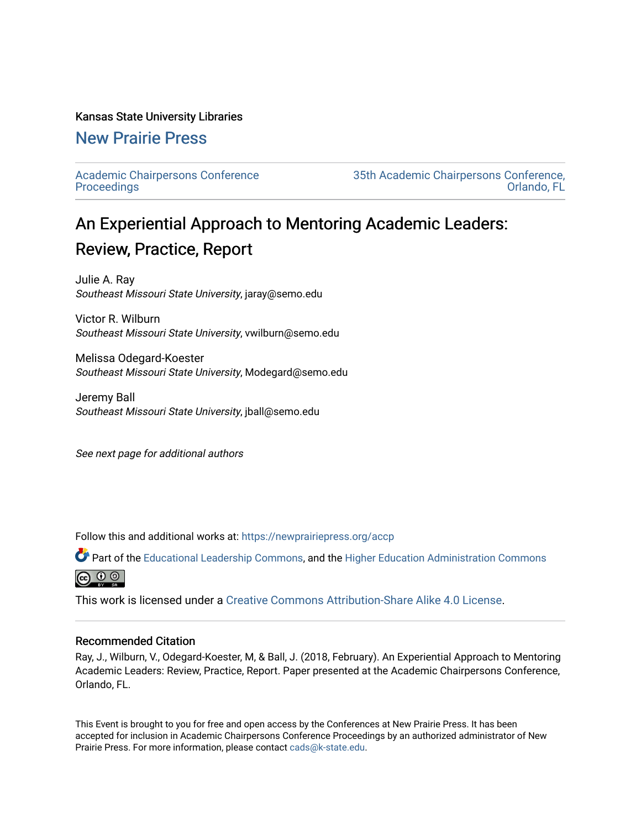#### Kansas State University Libraries

## [New Prairie Press](https://newprairiepress.org/)

[Academic Chairpersons Conference](https://newprairiepress.org/accp)  **Proceedings** 

[35th Academic Chairpersons Conference,](https://newprairiepress.org/accp/2018)  [Orlando, FL](https://newprairiepress.org/accp/2018) 

# An Experiential Approach to Mentoring Academic Leaders: Review, Practice, Report

Julie A. Ray Southeast Missouri State University, jaray@semo.edu

Victor R. Wilburn Southeast Missouri State University, vwilburn@semo.edu

Melissa Odegard-Koester Southeast Missouri State University, Modegard@semo.edu

Jeremy Ball Southeast Missouri State University, jball@semo.edu

See next page for additional authors

Follow this and additional works at: [https://newprairiepress.org/accp](https://newprairiepress.org/accp?utm_source=newprairiepress.org%2Faccp%2F2018%2Fleadership%2F7&utm_medium=PDF&utm_campaign=PDFCoverPages) 

Part of the [Educational Leadership Commons,](http://network.bepress.com/hgg/discipline/1230?utm_source=newprairiepress.org%2Faccp%2F2018%2Fleadership%2F7&utm_medium=PDF&utm_campaign=PDFCoverPages) and the [Higher Education Administration Commons](http://network.bepress.com/hgg/discipline/791?utm_source=newprairiepress.org%2Faccp%2F2018%2Fleadership%2F7&utm_medium=PDF&utm_campaign=PDFCoverPages) ெ 0 ©

This work is licensed under a [Creative Commons Attribution-Share Alike 4.0 License.](https://creativecommons.org/licenses/by-sa/4.0/)

#### Recommended Citation

Ray, J., Wilburn, V., Odegard-Koester, M, & Ball, J. (2018, February). An Experiential Approach to Mentoring Academic Leaders: Review, Practice, Report. Paper presented at the Academic Chairpersons Conference, Orlando, FL.

This Event is brought to you for free and open access by the Conferences at New Prairie Press. It has been accepted for inclusion in Academic Chairpersons Conference Proceedings by an authorized administrator of New Prairie Press. For more information, please contact [cads@k-state.edu.](mailto:cads@k-state.edu)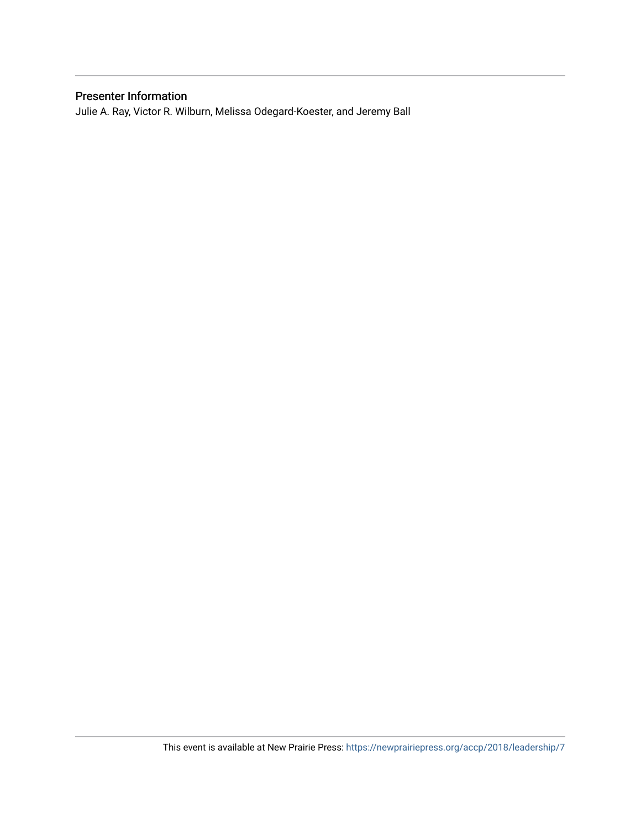### Presenter Information

Julie A. Ray, Victor R. Wilburn, Melissa Odegard-Koester, and Jeremy Ball